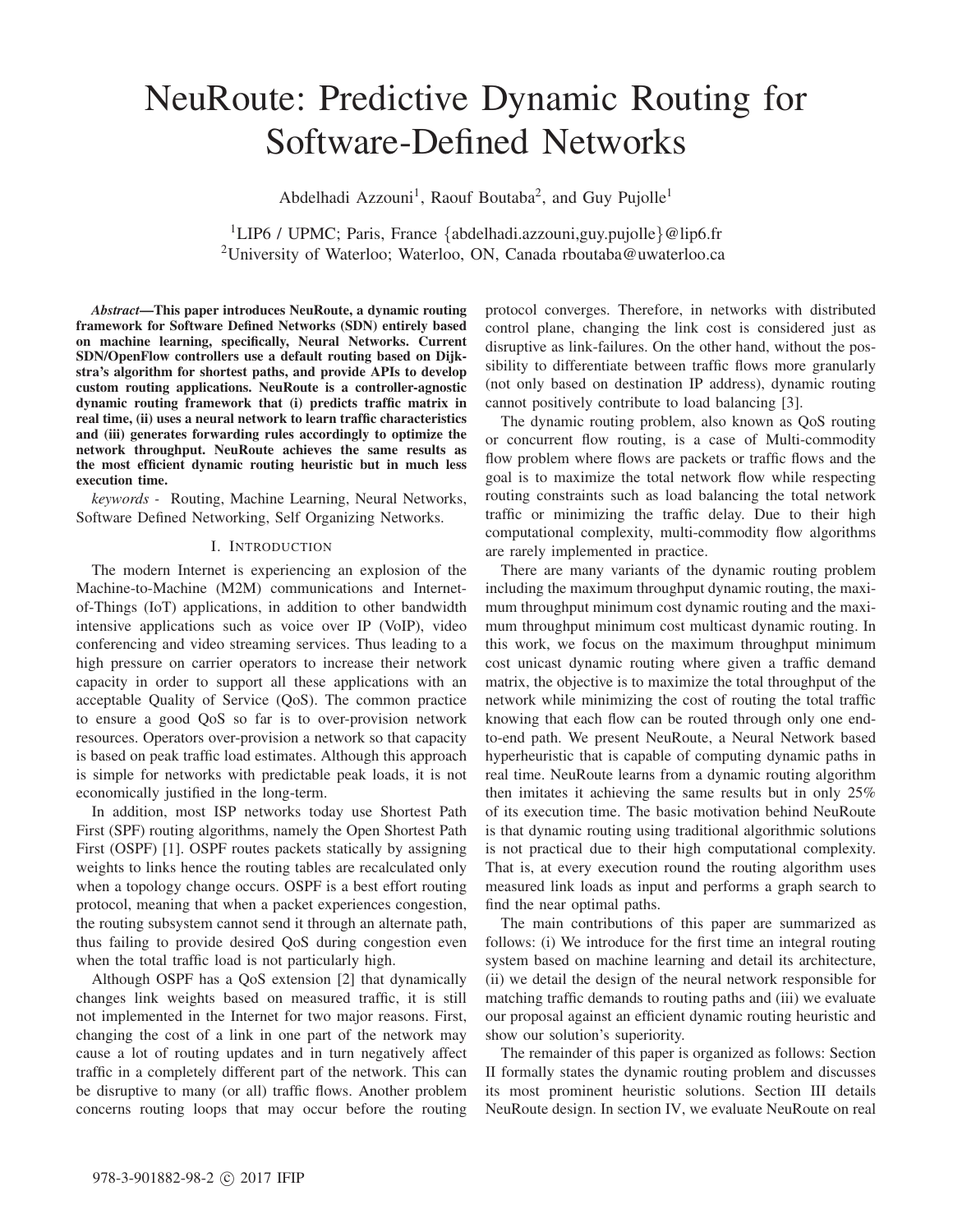# NeuRoute: Predictive Dynamic Routing for Software-Defined Networks

Abdelhadi Azzouni<sup>1</sup>, Raouf Boutaba<sup>2</sup>, and Guy Pujolle<sup>1</sup>

1LIP6 / UPMC; Paris, France {abdelhadi.azzouni,guy.pujolle}@lip6.fr <sup>2</sup>University of Waterloo; Waterloo, ON, Canada rboutaba@uwaterloo.ca

*Abstract*—This paper introduces NeuRoute, a dynamic routing framework for Software Defined Networks (SDN) entirely based on machine learning, specifically, Neural Networks. Current SDN/OpenFlow controllers use a default routing based on Dijkstra's algorithm for shortest paths, and provide APIs to develop custom routing applications. NeuRoute is a controller-agnostic dynamic routing framework that (i) predicts traffic matrix in real time, (ii) uses a neural network to learn traffic characteristics and (iii) generates forwarding rules accordingly to optimize the network throughput. NeuRoute achieves the same results as the most efficient dynamic routing heuristic but in much less execution time.

*keywords -* Routing, Machine Learning, Neural Networks, Software Defined Networking, Self Organizing Networks.

# I. INTRODUCTION

The modern Internet is experiencing an explosion of the Machine-to-Machine (M2M) communications and Internetof-Things (IoT) applications, in addition to other bandwidth intensive applications such as voice over IP (VoIP), video conferencing and video streaming services. Thus leading to a high pressure on carrier operators to increase their network capacity in order to support all these applications with an acceptable Quality of Service (QoS). The common practice to ensure a good QoS so far is to over-provision network resources. Operators over-provision a network so that capacity is based on peak traffic load estimates. Although this approach is simple for networks with predictable peak loads, it is not economically justified in the long-term.

In addition, most ISP networks today use Shortest Path First (SPF) routing algorithms, namely the Open Shortest Path First (OSPF) [1]. OSPF routes packets statically by assigning weights to links hence the routing tables are recalculated only when a topology change occurs. OSPF is a best effort routing protocol, meaning that when a packet experiences congestion, the routing subsystem cannot send it through an alternate path, thus failing to provide desired QoS during congestion even when the total traffic load is not particularly high.

Although OSPF has a QoS extension [2] that dynamically changes link weights based on measured traffic, it is still not implemented in the Internet for two major reasons. First, changing the cost of a link in one part of the network may cause a lot of routing updates and in turn negatively affect traffic in a completely different part of the network. This can be disruptive to many (or all) traffic flows. Another problem concerns routing loops that may occur before the routing

protocol converges. Therefore, in networks with distributed control plane, changing the link cost is considered just as disruptive as link-failures. On the other hand, without the possibility to differentiate between traffic flows more granularly (not only based on destination IP address), dynamic routing cannot positively contribute to load balancing [3].

The dynamic routing problem, also known as QoS routing or concurrent flow routing, is a case of Multi-commodity flow problem where flows are packets or traffic flows and the goal is to maximize the total network flow while respecting routing constraints such as load balancing the total network traffic or minimizing the traffic delay. Due to their high computational complexity, multi-commodity flow algorithms are rarely implemented in practice.

There are many variants of the dynamic routing problem including the maximum throughput dynamic routing, the maximum throughput minimum cost dynamic routing and the maximum throughput minimum cost multicast dynamic routing. In this work, we focus on the maximum throughput minimum cost unicast dynamic routing where given a traffic demand matrix, the objective is to maximize the total throughput of the network while minimizing the cost of routing the total traffic knowing that each flow can be routed through only one endto-end path. We present NeuRoute, a Neural Network based hyperheuristic that is capable of computing dynamic paths in real time. NeuRoute learns from a dynamic routing algorithm then imitates it achieving the same results but in only 25% of its execution time. The basic motivation behind NeuRoute is that dynamic routing using traditional algorithmic solutions is not practical due to their high computational complexity. That is, at every execution round the routing algorithm uses measured link loads as input and performs a graph search to find the near optimal paths.

The main contributions of this paper are summarized as follows: (i) We introduce for the first time an integral routing system based on machine learning and detail its architecture, (ii) we detail the design of the neural network responsible for matching traffic demands to routing paths and (iii) we evaluate our proposal against an efficient dynamic routing heuristic and show our solution's superiority.

The remainder of this paper is organized as follows: Section II formally states the dynamic routing problem and discusses its most prominent heuristic solutions. Section III details NeuRoute design. In section IV, we evaluate NeuRoute on real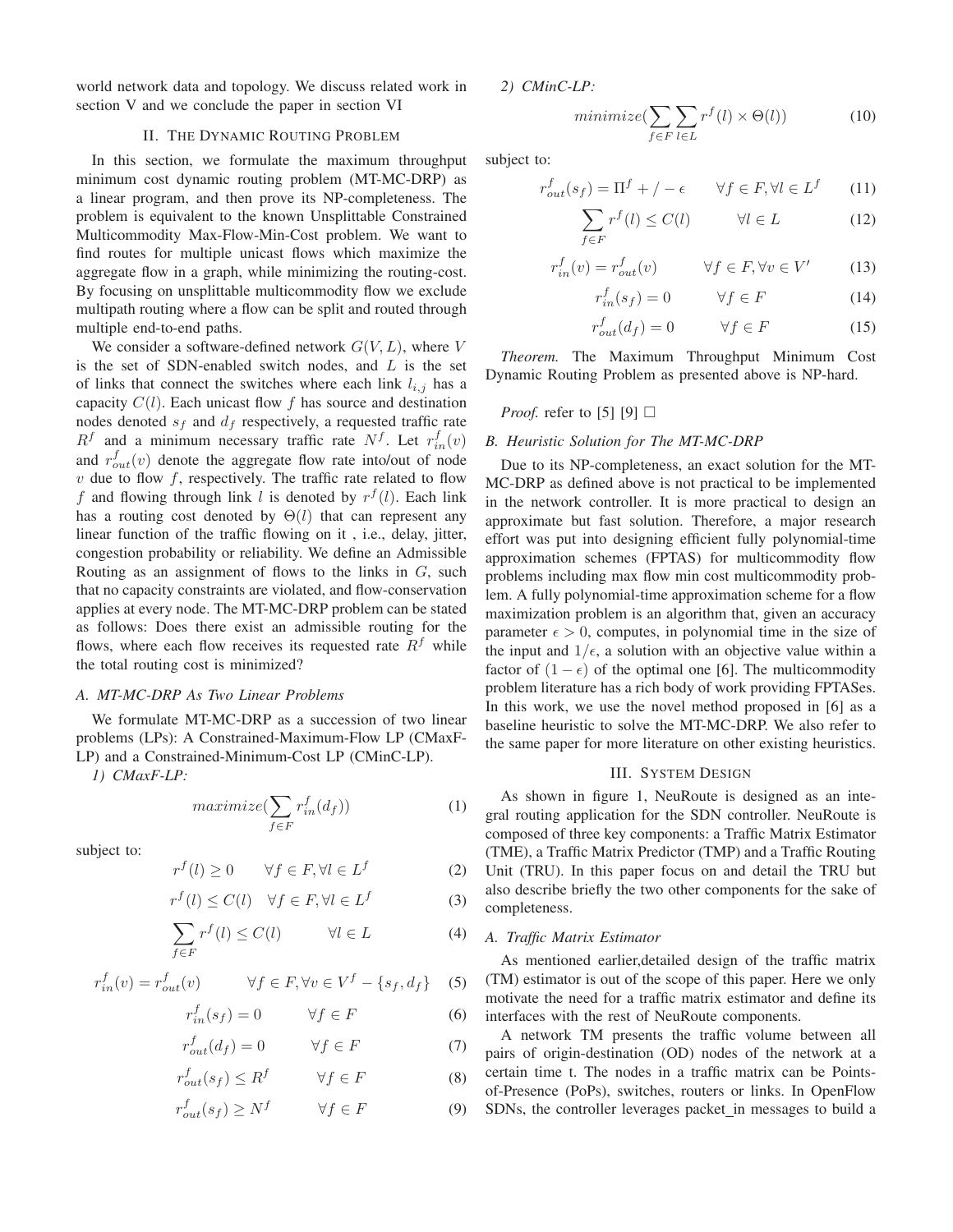world network data and topology. We discuss related work in section V and we conclude the paper in section VI

# II. THE DYNAMIC ROUTING PROBLEM

In this section, we formulate the maximum throughput minimum cost dynamic routing problem (MT-MC-DRP) as a linear program, and then prove its NP-completeness. The problem is equivalent to the known Unsplittable Constrained Multicommodity Max-Flow-Min-Cost problem. We want to find routes for multiple unicast flows which maximize the aggregate flow in a graph, while minimizing the routing-cost. By focusing on unsplittable multicommodity flow we exclude multipath routing where a flow can be split and routed through multiple end-to-end paths.

We consider a software-defined network *G*(*V,L*), where *V* is the set of SDN-enabled switch nodes, and *L* is the set of links that connect the switches where each link  $l_{i,j}$  has a capacity  $C(l)$ . Each unicast flow  $f$  has source and destination nodes denoted  $s_f$  and  $d_f$  respectively, a requested traffic rate  $R^f$  and a minimum necessary traffic rate  $N^f$ . Let  $r_{in}^f(v)$ and  $r_{out}^f(v)$  denote the aggregate flow rate into/out of node  $v$  due to flow  $f$ , respectively. The traffic rate related to flow *f* and flowing through link *l* is denoted by  $r^f(l)$ . Each link has a routing cost denoted by Θ(*l*) that can represent any linear function of the traffic flowing on it , i.e., delay, jitter, congestion probability or reliability. We define an Admissible Routing as an assignment of flows to the links in *G*, such that no capacity constraints are violated, and flow-conservation applies at every node. The MT-MC-DRP problem can be stated as follows: Does there exist an admissible routing for the flows, where each flow receives its requested rate  $R<sup>f</sup>$  while the total routing cost is minimized?

# *A. MT-MC-DRP As Two Linear Problems*

We formulate MT-MC-DRP as a succession of two linear problems (LPs): A Constrained-Maximum-Flow LP (CMaxF-LP) and a Constrained-Minimum-Cost LP (CMinC-LP).

*1) CMaxF-LP:*

$$
maximize(\sum_{f \in F} r_{in}^{f}(d_f))
$$
\n(1)

subject to:

$$
r^f(l) \ge 0 \qquad \forall f \in F, \forall l \in L^f \tag{2}
$$

$$
r^f(l) \le C(l) \quad \forall f \in F, \forall l \in L^f \tag{3}
$$

$$
\sum_{f \in F} r^f(l) \le C(l) \qquad \forall l \in L \tag{4}
$$

$$
r_{in}^f(v) = r_{out}^f(v) \qquad \forall f \in F, \forall v \in V^f - \{s_f, d_f\} \quad (5)
$$

$$
r_{in}^f(s_f) = 0 \qquad \forall f \in F \tag{6}
$$

$$
r_{out}^f(d_f) = 0 \qquad \forall f \in F \tag{7}
$$

$$
r_{out}^f(s_f) \le R^f \qquad \forall f \in F \tag{8}
$$

$$
r_{out}^f(s_f) \ge N^f \qquad \forall f \in F \tag{9}
$$

*2) CMinC-LP:*

$$
minimize(\sum_{f \in F} \sum_{l \in L} r^f(l) \times \Theta(l))
$$
\n(10)

subject to:

$$
r_{out}^f(s_f) = \Pi^f + / -\epsilon \qquad \forall f \in F, \forall l \in L^f \tag{11}
$$

$$
\sum_{f \in F} r^f(l) \le C(l) \qquad \forall l \in L \tag{12}
$$

$$
r_{in}^f(v) = r_{out}^f(v) \qquad \forall f \in F, \forall v \in V' \qquad (13)
$$

$$
r_{in}^{f}(s_f) = 0 \qquad \forall f \in F \tag{14}
$$

$$
r_{out}^f(d_f) = 0 \qquad \forall f \in F \tag{15}
$$

*Theorem.* The Maximum Throughput Minimum Cost Dynamic Routing Problem as presented above is NP-hard.

# *Proof.* refer to [5] [9]  $\Box$

#### *B. Heuristic Solution for The MT-MC-DRP*

Due to its NP-completeness, an exact solution for the MT-MC-DRP as defined above is not practical to be implemented in the network controller. It is more practical to design an approximate but fast solution. Therefore, a major research effort was put into designing efficient fully polynomial-time approximation schemes (FPTAS) for multicommodity flow problems including max flow min cost multicommodity problem. A fully polynomial-time approximation scheme for a flow maximization problem is an algorithm that, given an accuracy parameter  $\epsilon > 0$ , computes, in polynomial time in the size of the input and  $1/\epsilon$ , a solution with an objective value within a factor of  $(1 - \epsilon)$  of the optimal one [6]. The multicommodity problem literature has a rich body of work providing FPTASes. In this work, we use the novel method proposed in [6] as a baseline heuristic to solve the MT-MC-DRP. We also refer to the same paper for more literature on other existing heuristics.

#### III. SYSTEM DESIGN

As shown in figure 1, NeuRoute is designed as an integral routing application for the SDN controller. NeuRoute is composed of three key components: a Traffic Matrix Estimator (TME), a Traffic Matrix Predictor (TMP) and a Traffic Routing Unit (TRU). In this paper focus on and detail the TRU but also describe briefly the two other components for the sake of completeness.

#### *A. Traffic Matrix Estimator*

As mentioned earlier,detailed design of the traffic matrix (TM) estimator is out of the scope of this paper. Here we only motivate the need for a traffic matrix estimator and define its interfaces with the rest of NeuRoute components.

A network TM presents the traffic volume between all pairs of origin-destination (OD) nodes of the network at a certain time t. The nodes in a traffic matrix can be Pointsof-Presence (PoPs), switches, routers or links. In OpenFlow SDNs, the controller leverages packet in messages to build a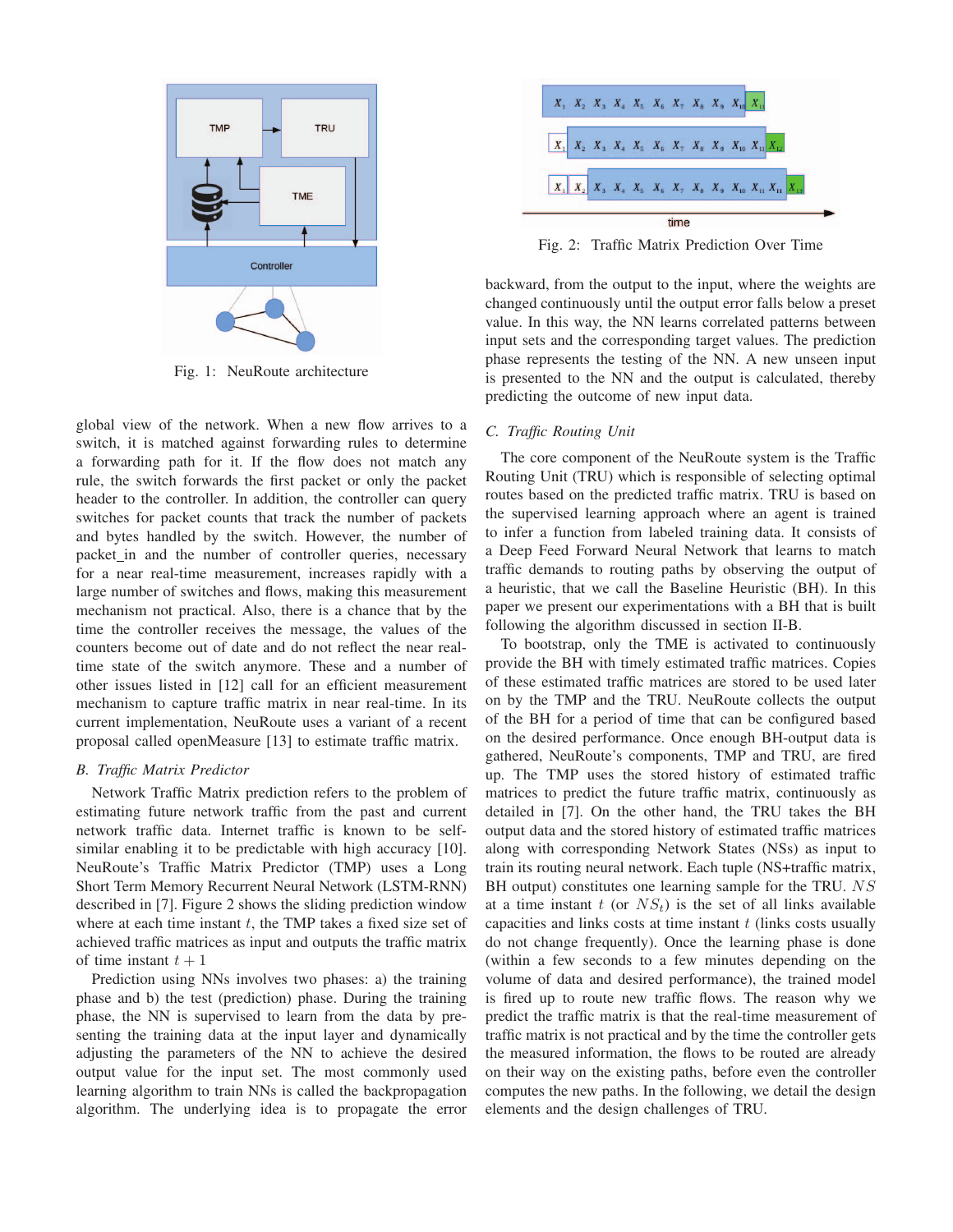

Fig. 1: NeuRoute architecture

global view of the network. When a new flow arrives to a switch, it is matched against forwarding rules to determine a forwarding path for it. If the flow does not match any rule, the switch forwards the first packet or only the packet header to the controller. In addition, the controller can query switches for packet counts that track the number of packets and bytes handled by the switch. However, the number of packet in and the number of controller queries, necessary for a near real-time measurement, increases rapidly with a large number of switches and flows, making this measurement mechanism not practical. Also, there is a chance that by the time the controller receives the message, the values of the counters become out of date and do not reflect the near realtime state of the switch anymore. These and a number of other issues listed in [12] call for an efficient measurement mechanism to capture traffic matrix in near real-time. In its current implementation, NeuRoute uses a variant of a recent proposal called openMeasure [13] to estimate traffic matrix.

### *B. Traffic Matrix Predictor*

Network Traffic Matrix prediction refers to the problem of estimating future network traffic from the past and current network traffic data. Internet traffic is known to be selfsimilar enabling it to be predictable with high accuracy [10]. NeuRoute's Traffic Matrix Predictor (TMP) uses a Long Short Term Memory Recurrent Neural Network (LSTM-RNN) described in [7]. Figure 2 shows the sliding prediction window where at each time instant *t*, the TMP takes a fixed size set of achieved traffic matrices as input and outputs the traffic matrix of time instant  $t + 1$ 

Prediction using NNs involves two phases: a) the training phase and b) the test (prediction) phase. During the training phase, the NN is supervised to learn from the data by presenting the training data at the input layer and dynamically adjusting the parameters of the NN to achieve the desired output value for the input set. The most commonly used learning algorithm to train NNs is called the backpropagation algorithm. The underlying idea is to propagate the error



Fig. 2: Traffic Matrix Prediction Over Time

backward, from the output to the input, where the weights are changed continuously until the output error falls below a preset value. In this way, the NN learns correlated patterns between input sets and the corresponding target values. The prediction phase represents the testing of the NN. A new unseen input is presented to the NN and the output is calculated, thereby predicting the outcome of new input data.

# *C. Traffic Routing Unit*

The core component of the NeuRoute system is the Traffic Routing Unit (TRU) which is responsible of selecting optimal routes based on the predicted traffic matrix. TRU is based on the supervised learning approach where an agent is trained to infer a function from labeled training data. It consists of a Deep Feed Forward Neural Network that learns to match traffic demands to routing paths by observing the output of a heuristic, that we call the Baseline Heuristic (BH). In this paper we present our experimentations with a BH that is built following the algorithm discussed in section II-B.

To bootstrap, only the TME is activated to continuously provide the BH with timely estimated traffic matrices. Copies of these estimated traffic matrices are stored to be used later on by the TMP and the TRU. NeuRoute collects the output of the BH for a period of time that can be configured based on the desired performance. Once enough BH-output data is gathered, NeuRoute's components, TMP and TRU, are fired up. The TMP uses the stored history of estimated traffic matrices to predict the future traffic matrix, continuously as detailed in [7]. On the other hand, the TRU takes the BH output data and the stored history of estimated traffic matrices along with corresponding Network States (NSs) as input to train its routing neural network. Each tuple (NS+traffic matrix, BH output) constitutes one learning sample for the TRU. *NS* at a time instant  $t$  (or  $NS<sub>t</sub>$ ) is the set of all links available capacities and links costs at time instant *t* (links costs usually do not change frequently). Once the learning phase is done (within a few seconds to a few minutes depending on the volume of data and desired performance), the trained model is fired up to route new traffic flows. The reason why we predict the traffic matrix is that the real-time measurement of traffic matrix is not practical and by the time the controller gets the measured information, the flows to be routed are already on their way on the existing paths, before even the controller computes the new paths. In the following, we detail the design elements and the design challenges of TRU.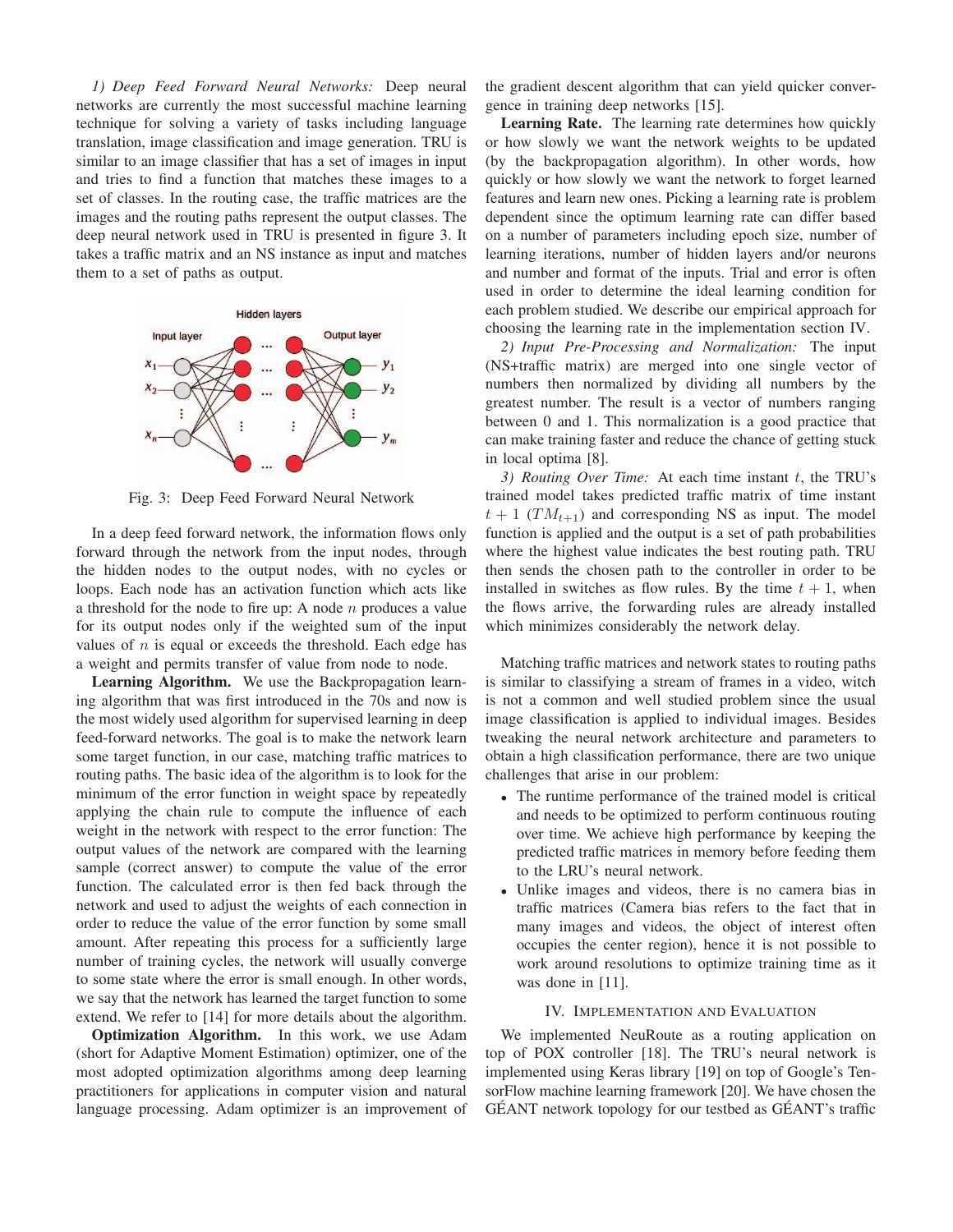*1) Deep Feed Forward Neural Networks:* Deep neural networks are currently the most successful machine learning technique for solving a variety of tasks including language translation, image classification and image generation. TRU is similar to an image classifier that has a set of images in input and tries to find a function that matches these images to a set of classes. In the routing case, the traffic matrices are the images and the routing paths represent the output classes. The deep neural network used in TRU is presented in figure 3. It takes a traffic matrix and an NS instance as input and matches them to a set of paths as output.



Fig. 3: Deep Feed Forward Neural Network

In a deep feed forward network, the information flows only forward through the network from the input nodes, through the hidden nodes to the output nodes, with no cycles or loops. Each node has an activation function which acts like a threshold for the node to fire up: A node *n* produces a value for its output nodes only if the weighted sum of the input values of *n* is equal or exceeds the threshold. Each edge has a weight and permits transfer of value from node to node.

Learning Algorithm. We use the Backpropagation learning algorithm that was first introduced in the 70s and now is the most widely used algorithm for supervised learning in deep feed-forward networks. The goal is to make the network learn some target function, in our case, matching traffic matrices to routing paths. The basic idea of the algorithm is to look for the minimum of the error function in weight space by repeatedly applying the chain rule to compute the influence of each weight in the network with respect to the error function: The output values of the network are compared with the learning sample (correct answer) to compute the value of the error function. The calculated error is then fed back through the network and used to adjust the weights of each connection in order to reduce the value of the error function by some small amount. After repeating this process for a sufficiently large number of training cycles, the network will usually converge to some state where the error is small enough. In other words, we say that the network has learned the target function to some extend. We refer to [14] for more details about the algorithm.

Optimization Algorithm. In this work, we use Adam (short for Adaptive Moment Estimation) optimizer, one of the most adopted optimization algorithms among deep learning practitioners for applications in computer vision and natural language processing. Adam optimizer is an improvement of the gradient descent algorithm that can yield quicker convergence in training deep networks [15].

Learning Rate. The learning rate determines how quickly or how slowly we want the network weights to be updated (by the backpropagation algorithm). In other words, how quickly or how slowly we want the network to forget learned features and learn new ones. Picking a learning rate is problem dependent since the optimum learning rate can differ based on a number of parameters including epoch size, number of learning iterations, number of hidden layers and/or neurons and number and format of the inputs. Trial and error is often used in order to determine the ideal learning condition for each problem studied. We describe our empirical approach for choosing the learning rate in the implementation section IV.

*2) Input Pre-Processing and Normalization:* The input (NS+traffic matrix) are merged into one single vector of numbers then normalized by dividing all numbers by the greatest number. The result is a vector of numbers ranging between 0 and 1. This normalization is a good practice that can make training faster and reduce the chance of getting stuck in local optima [8].

*3) Routing Over Time:* At each time instant *t*, the TRU's trained model takes predicted traffic matrix of time instant  $t + 1$  (*TM*<sub> $t+1$ </sub>) and corresponding NS as input. The model function is applied and the output is a set of path probabilities where the highest value indicates the best routing path. TRU then sends the chosen path to the controller in order to be installed in switches as flow rules. By the time  $t + 1$ , when the flows arrive, the forwarding rules are already installed which minimizes considerably the network delay.

Matching traffic matrices and network states to routing paths is similar to classifying a stream of frames in a video, witch is not a common and well studied problem since the usual image classification is applied to individual images. Besides tweaking the neural network architecture and parameters to obtain a high classification performance, there are two unique challenges that arise in our problem:

- The runtime performance of the trained model is critical and needs to be optimized to perform continuous routing over time. We achieve high performance by keeping the predicted traffic matrices in memory before feeding them to the LRU's neural network.
- Unlike images and videos, there is no camera bias in traffic matrices (Camera bias refers to the fact that in many images and videos, the object of interest often occupies the center region), hence it is not possible to work around resolutions to optimize training time as it was done in [11].

# IV. IMPLEMENTATION AND EVALUATION

We implemented NeuRoute as a routing application on top of POX controller [18]. The TRU's neural network is implemented using Keras library [19] on top of Google's TensorFlow machine learning framework [20]. We have chosen the GÉANT network topology for our testbed as GÉANT's traffic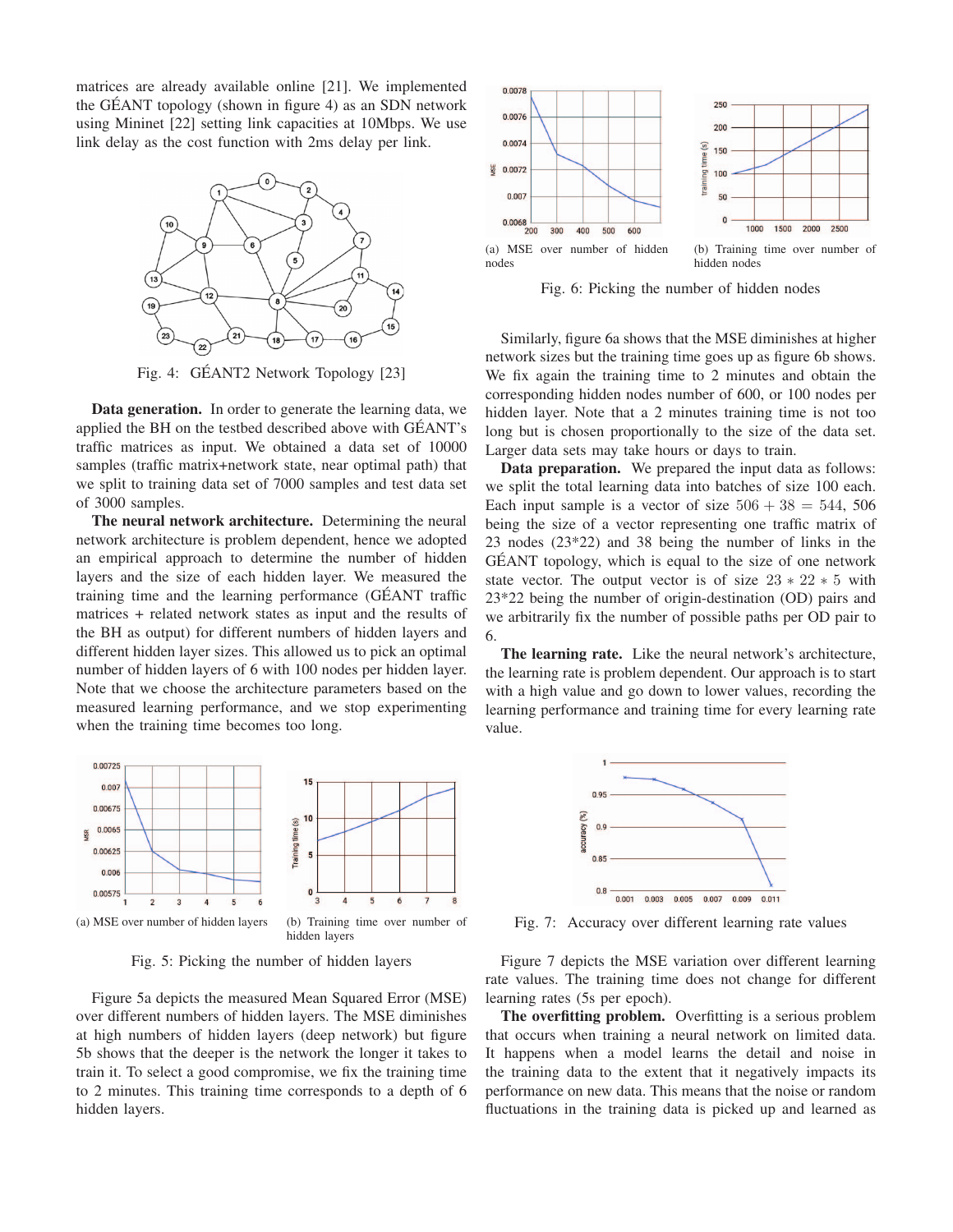matrices are already available online [21]. We implemented the GEANT topology (shown in figure 4) as an SDN network ´ using Mininet [22] setting link capacities at 10Mbps. We use link delay as the cost function with 2ms delay per link.



Fig. 4: GÉANT2 Network Topology [23]

Data generation. In order to generate the learning data, we applied the BH on the testbed described above with GÉANT's traffic matrices as input. We obtained a data set of 10000 samples (traffic matrix+network state, near optimal path) that we split to training data set of 7000 samples and test data set of 3000 samples.

The neural network architecture. Determining the neural network architecture is problem dependent, hence we adopted an empirical approach to determine the number of hidden layers and the size of each hidden layer. We measured the training time and the learning performance (GEANT traffic ´ matrices + related network states as input and the results of the BH as output) for different numbers of hidden layers and different hidden layer sizes. This allowed us to pick an optimal number of hidden layers of 6 with 100 nodes per hidden layer. Note that we choose the architecture parameters based on the measured learning performance, and we stop experimenting when the training time becomes too long.



hidden layers

Fig. 5: Picking the number of hidden layers

Figure 5a depicts the measured Mean Squared Error (MSE) over different numbers of hidden layers. The MSE diminishes at high numbers of hidden layers (deep network) but figure 5b shows that the deeper is the network the longer it takes to train it. To select a good compromise, we fix the training time to 2 minutes. This training time corresponds to a depth of 6 hidden layers.



Fig. 6: Picking the number of hidden nodes

Similarly, figure 6a shows that the MSE diminishes at higher network sizes but the training time goes up as figure 6b shows. We fix again the training time to 2 minutes and obtain the corresponding hidden nodes number of 600, or 100 nodes per hidden layer. Note that a 2 minutes training time is not too long but is chosen proportionally to the size of the data set. Larger data sets may take hours or days to train.

Data preparation. We prepared the input data as follows: we split the total learning data into batches of size 100 each. Each input sample is a vector of size  $506 + 38 = 544$ , 506 being the size of a vector representing one traffic matrix of 23 nodes (23\*22) and 38 being the number of links in the GEANT topology, which is equal to the size of one network state vector. The output vector is of size  $23 * 22 * 5$  with 23\*22 being the number of origin-destination (OD) pairs and we arbitrarily fix the number of possible paths per OD pair to 6.

The learning rate. Like the neural network's architecture, the learning rate is problem dependent. Our approach is to start with a high value and go down to lower values, recording the learning performance and training time for every learning rate value.



Fig. 7: Accuracy over different learning rate values

Figure 7 depicts the MSE variation over different learning rate values. The training time does not change for different learning rates (5s per epoch).

The overfitting problem. Overfitting is a serious problem that occurs when training a neural network on limited data. It happens when a model learns the detail and noise in the training data to the extent that it negatively impacts its performance on new data. This means that the noise or random fluctuations in the training data is picked up and learned as